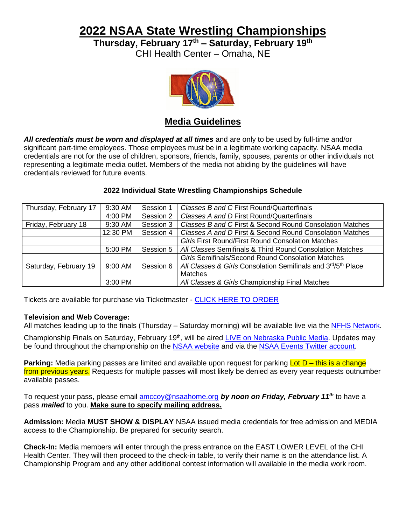**2022 NSAA State Wrestling Championships**

**Thursday, February 17th – Saturday, February 19th**

CHI Health Center – Omaha, NE



## **Media Guidelines**

*All credentials must be worn and displayed at all times* and are only to be used by full-time and/or significant part-time employees. Those employees must be in a legitimate working capacity. NSAA media credentials are not for the use of children, sponsors, friends, family, spouses, parents or other individuals not representing a legitimate media outlet. Members of the media not abiding by the guidelines will have credentials reviewed for future events.

## **2022 Individual State Wrestling Championships Schedule**

| Thursday, February 17 | 9:30 AM   | Session 1 | Classes B and C First Round/Quarterfinals                    |  |
|-----------------------|-----------|-----------|--------------------------------------------------------------|--|
|                       | 4:00 PM   | Session 2 | Classes A and D First Round/Quarterfinals                    |  |
| Friday, February 18   | $9:30$ AM | Session 3 | Classes B and C First & Second Round Consolation Matches     |  |
|                       | 12:30 PM  | Session 4 | Classes A and D First & Second Round Consolation Matches     |  |
|                       |           |           | <b>Girls First Round/First Round Consolation Matches</b>     |  |
|                       | 5:00 PM   | Session 5 | All Classes Semifinals & Third Round Consolation Matches     |  |
|                       |           |           | Girls Semifinals/Second Round Consolation Matches            |  |
| Saturday, February 19 | 9:00 AM   | Session 6 | All Classes & Girls Consolation Semifinals and 3rd/5th Place |  |
|                       |           |           | <b>Matches</b>                                               |  |
|                       | 3:00 PM   |           | All Classes & Girls Championship Final Matches               |  |

Tickets are available for purchase via Ticketmaster - [CLICK HERE TO ORDER](https://www.ticketmaster.com/nsaa-state-wrestling-tickets/artist/1930828)

## **Television and Web Coverage:**

All matches leading up to the finals (Thursday – Saturday morning) will be available live via the [NFHS Network.](https://www.nfhsnetwork.com/associations/nsaa)

Championship Finals on Saturday, February 19<sup>th</sup>, will be aired [LIVE on Nebraska Public Media.](http://netnebraska.org/basic-page/sports/nsaa-high-school-championships) Updates may be found throughout the championship on the [NSAA website](file://///nsaadc/Vol1/jstauss/Media/Onsite%20Media%20Information/Logistics%20Docs/Past%20Years/2016-17%20Media%20Logistics/nsaahome.org) and via the [NSAA Events Twitter account.](https://twitter.com/nsaaevents?lang=en)

**Parking:** Media parking passes are limited and available upon request for parking Lot D – this is a change from previous years. Requests for multiple passes will most likely be denied as every year requests outnumber available passes.

To request your pass, please email [amccoy@nsaahome.org](mailto:amccoy@nsaahome.org) *by noon on Friday, February 11 th* to have a pass *mailed* to you. **Make sure to specify mailing address.**

**Admission:** Media **MUST SHOW & DISPLAY** NSAA issued media credentials for free admission and MEDIA access to the Championship. Be prepared for security search.

**Check-In:** Media members will enter through the press entrance on the EAST LOWER LEVEL of the CHI Health Center. They will then proceed to the check-in table, to verify their name is on the attendance list. A Championship Program and any other additional contest information will available in the media work room.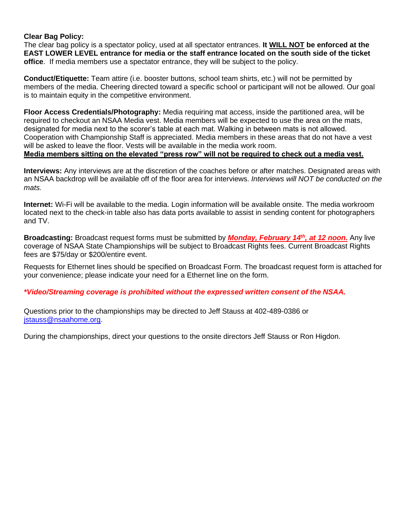#### **Clear Bag Policy:**

The clear bag policy is a spectator policy, used at all spectator entrances. **It WILL NOT be enforced at the EAST LOWER LEVEL entrance for media or the staff entrance located on the south side of the ticket office**. If media members use a spectator entrance, they will be subject to the policy.

**Conduct/Etiquette:** Team attire (i.e. booster buttons, school team shirts, etc.) will not be permitted by members of the media. Cheering directed toward a specific school or participant will not be allowed. Our goal is to maintain equity in the competitive environment.

**Floor Access Credentials/Photography:** Media requiring mat access, inside the partitioned area, will be required to checkout an NSAA Media vest. Media members will be expected to use the area on the mats, designated for media next to the scorer's table at each mat. Walking in between mats is not allowed. Cooperation with Championship Staff is appreciated. Media members in these areas that do not have a vest will be asked to leave the floor. Vests will be available in the media work room. **Media members sitting on the elevated "press row" will not be required to check out a media vest.**

**Interviews:** Any interviews are at the discretion of the coaches before or after matches. Designated areas with an NSAA backdrop will be available off of the floor area for interviews. *Interviews will NOT be conducted on the mats.*

**Internet:** Wi-Fi will be available to the media. Login information will be available onsite. The media workroom located next to the check-in table also has data ports available to assist in sending content for photographers and TV.

Broadcasting: Broadcast request forms must be submitted by *Monday, February 14<sup>th</sup>, at 12 noon*. Any live coverage of NSAA State Championships will be subject to Broadcast Rights fees. Current Broadcast Rights fees are \$75/day or \$200/entire event.

Requests for Ethernet lines should be specified on Broadcast Form. The broadcast request form is attached for your convenience; please indicate your need for a Ethernet line on the form.

#### *\*Video/Streaming coverage is prohibited without the expressed written consent of the NSAA.*

Questions prior to the championships may be directed to Jeff Stauss at 402-489-0386 or [jstauss@nsaahome.org.](mailto:jstauss@nsaahome.org)

During the championships, direct your questions to the onsite directors Jeff Stauss or Ron Higdon.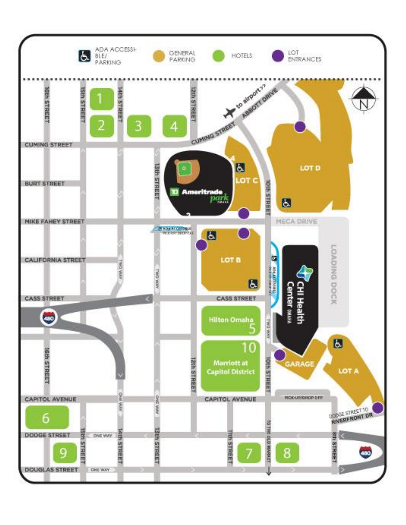